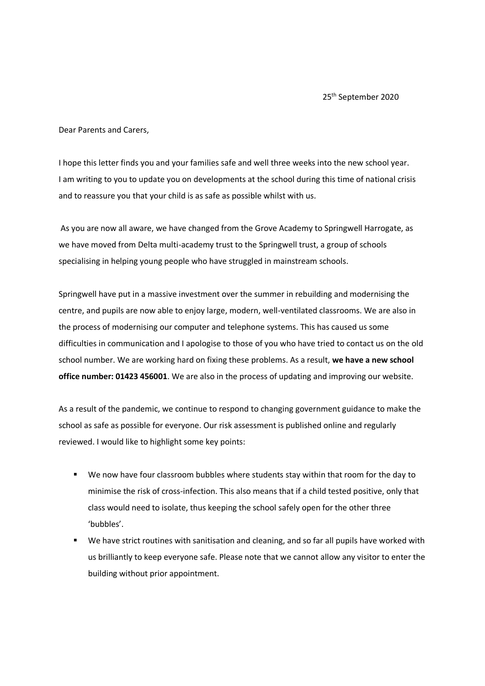25<sup>th</sup> September 2020

Dear Parents and Carers,

I hope this letter finds you and your families safe and well three weeks into the new school year. I am writing to you to update you on developments at the school during this time of national crisis and to reassure you that your child is as safe as possible whilst with us.

As you are now all aware, we have changed from the Grove Academy to Springwell Harrogate, as we have moved from Delta multi-academy trust to the Springwell trust, a group of schools specialising in helping young people who have struggled in mainstream schools.

Springwell have put in a massive investment over the summer in rebuilding and modernising the centre, and pupils are now able to enjoy large, modern, well-ventilated classrooms. We are also in the process of modernising our computer and telephone systems. This has caused us some difficulties in communication and I apologise to those of you who have tried to contact us on the old school number. We are working hard on fixing these problems. As a result, **we have a new school office number: 01423 456001**. We are also in the process of updating and improving our website.

As a result of the pandemic, we continue to respond to changing government guidance to make the school as safe as possible for everyone. Our risk assessment is published online and regularly reviewed. I would like to highlight some key points:

- We now have four classroom bubbles where students stay within that room for the day to minimise the risk of cross-infection. This also means that if a child tested positive, only that class would need to isolate, thus keeping the school safely open for the other three 'bubbles'.
- We have strict routines with sanitisation and cleaning, and so far all pupils have worked with us brilliantly to keep everyone safe. Please note that we cannot allow any visitor to enter the building without prior appointment.